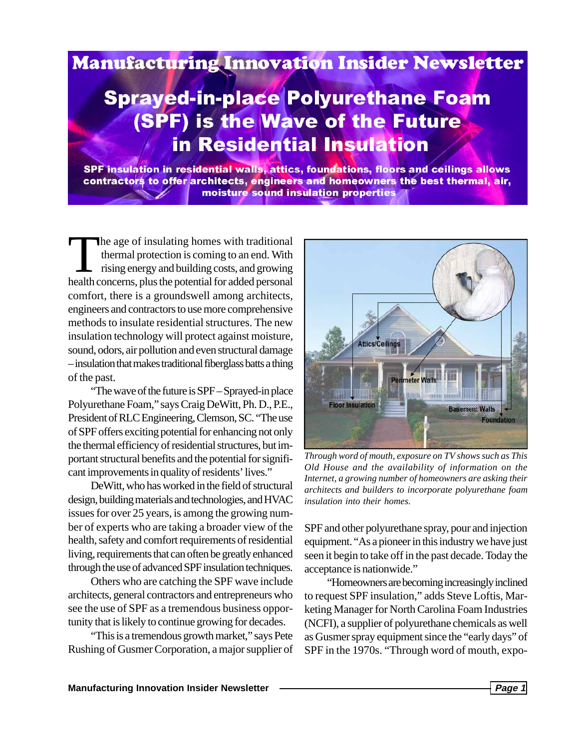## **Manufacturing Innovation Insider Newsletter**

# **Sprayed-in-place Polyurethane Foam** (SPF) is the Wave of the Future in Residential Insulation

SPF insulation in residential walls, attics, foundations, floors and ceilings allows contractors to offer architects, engineers and homeowners the best thermal, air, moisture sound insulation properties

The age of insulating homes with traditional<br>thermal protection is coming to an end. With<br>rising energy and building costs, and growing<br>health concerns, plus the potential for added personal thermal protection is coming to an end. With rising energy and building costs, and growing health concerns, plus the potential for added personal comfort, there is a groundswell among architects, engineers and contractors to use more comprehensive methods to insulate residential structures. The new insulation technology will protect against moisture, sound, odors, air pollution and even structural damage – insulation that makes traditional fiberglass batts a thing of the past.

"The wave of the future is SPF – Sprayed-in place Polyurethane Foam," says Craig DeWitt, Ph. D., P.E., President of RLC Engineering, Clemson, SC. "The use of SPF offers exciting potential for enhancing not only the thermal efficiency of residential structures, but important structural benefits and the potential for significant improvements in quality of residents' lives."

DeWitt, who has worked in the field of structural design, building materials and technologies, and HVAC issues for over 25 years, is among the growing number of experts who are taking a broader view of the health, safety and comfort requirements of residential living, requirements that can often be greatly enhanced through the use of advanced SPF insulation techniques.

Others who are catching the SPF wave include architects, general contractors and entrepreneurs who see the use of SPF as a tremendous business opportunity that is likely to continue growing for decades.

"This is a tremendous growth market," says Pete Rushing of Gusmer Corporation, a major supplier of



*Through word of mouth, exposure on TV shows such as This Old House and the availability of information on the Internet, a growing number of homeowners are asking their architects and builders to incorporate polyurethane foam insulation into their homes.*

SPF and other polyurethane spray, pour and injection equipment. "As a pioneer in this industry we have just seen it begin to take off in the past decade. Today the acceptance is nationwide."

"Homeowners are becoming increasingly inclined to request SPF insulation," adds Steve Loftis, Marketing Manager for North Carolina Foam Industries (NCFI), a supplier of polyurethane chemicals as well as Gusmer spray equipment since the "early days" of SPF in the 1970s. "Through word of mouth, expo-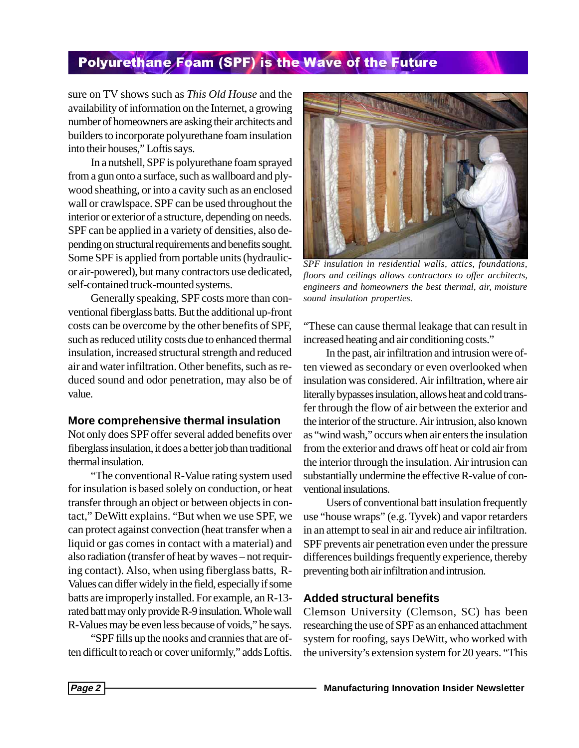## Polyurethane Foam (SPF) is the Wave of the Future

sure on TV shows such as *This Old House* and the availability of information on the Internet, a growing number of homeowners are asking their architects and builders to incorporate polyurethane foam insulation into their houses," Loftis says.

In a nutshell, SPF is polyurethane foam sprayed from a gun onto a surface, such as wallboard and plywood sheathing, or into a cavity such as an enclosed wall or crawlspace. SPF can be used throughout the interior or exterior of a structure, depending on needs. SPF can be applied in a variety of densities, also depending on structural requirements and benefits sought. Some SPF is applied from portable units (hydraulicor air-powered), but many contractors use dedicated, self-contained truck-mounted systems.

Generally speaking, SPF costs more than conventional fiberglass batts. But the additional up-front costs can be overcome by the other benefits of SPF, such as reduced utility costs due to enhanced thermal insulation, increased structural strength and reduced air and water infiltration. Other benefits, such as reduced sound and odor penetration, may also be of value.

#### **More comprehensive thermal insulation**

Not only does SPF offer several added benefits over fiberglass insulation, it does a better job than traditional thermal insulation.

"The conventional R-Value rating system used for insulation is based solely on conduction, or heat transfer through an object or between objects in contact," DeWitt explains. "But when we use SPF, we can protect against convection (heat transfer when a liquid or gas comes in contact with a material) and also radiation (transfer of heat by waves – not requiring contact). Also, when using fiberglass batts, R-Values can differ widely in the field, especially if some batts are improperly installed. For example, an R-13 rated batt may only provide R-9 insulation. Whole wall R-Values may be even less because of voids," he says.

"SPF fills up the nooks and crannies that are often difficult to reach or cover uniformly," adds Loftis.



*SPF insulation in residential walls, attics, foundations, floors and ceilings allows contractors to offer architects, engineers and homeowners the best thermal, air, moisture sound insulation properties.*

"These can cause thermal leakage that can result in increased heating and air conditioning costs."

In the past, air infiltration and intrusion were often viewed as secondary or even overlooked when insulation was considered. Air infiltration, where air literally bypasses insulation, allows heat and cold transfer through the flow of air between the exterior and the interior of the structure. Air intrusion, also known as "wind wash," occurs when air enters the insulation from the exterior and draws off heat or cold air from the interior through the insulation. Air intrusion can substantially undermine the effective R-value of conventional insulations.

Users of conventional batt insulation frequently use "house wraps" (e.g. Tyvek) and vapor retarders in an attempt to seal in air and reduce air infiltration. SPF prevents air penetration even under the pressure differences buildings frequently experience, thereby preventing both air infiltration and intrusion.

#### **Added structural benefits**

Clemson University (Clemson, SC) has been researching the use of SPF as an enhanced attachment system for roofing, says DeWitt, who worked with the university's extension system for 20 years. "This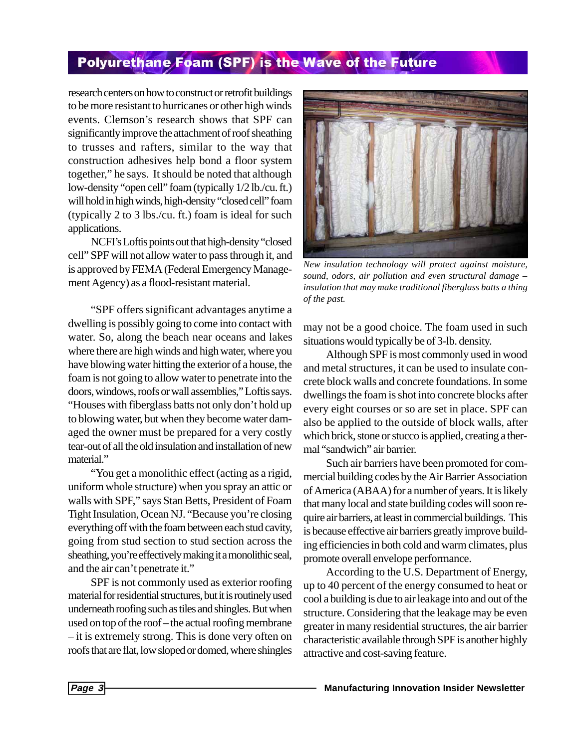### Polyurethane Foam (SPF) is the Wave of the Future

research centers on how to construct or retrofit buildings to be more resistant to hurricanes or other high winds events. Clemson's research shows that SPF can significantly improve the attachment of roof sheathing to trusses and rafters, similar to the way that construction adhesives help bond a floor system together," he says. It should be noted that although low-density "open cell" foam (typically 1/2 lb./cu. ft.) will hold in high winds, high-density "closed cell" foam (typically 2 to 3 lbs./cu. ft.) foam is ideal for such applications.

NCFI's Loftis points out that high-density "closed cell" SPF will not allow water to pass through it, and is approved by FEMA (Federal Emergency Management Agency) as a flood-resistant material.

"SPF offers significant advantages anytime a dwelling is possibly going to come into contact with water. So, along the beach near oceans and lakes where there are high winds and high water, where you have blowing water hitting the exterior of a house, the foam is not going to allow water to penetrate into the doors, windows, roofs or wall assemblies," Loftis says. "Houses with fiberglass batts not only don't hold up to blowing water, but when they become water damaged the owner must be prepared for a very costly tear-out of all the old insulation and installation of new material."

"You get a monolithic effect (acting as a rigid, uniform whole structure) when you spray an attic or walls with SPF," says Stan Betts, President of Foam Tight Insulation, Ocean NJ. "Because you're closing everything off with the foam between each stud cavity, going from stud section to stud section across the sheathing, you're effectively making it a monolithic seal, and the air can't penetrate it."

SPF is not commonly used as exterior roofing material for residential structures, but it is routinely used underneath roofing such as tiles and shingles. But when used on top of the roof – the actual roofing membrane – it is extremely strong. This is done very often on roofs that are flat, low sloped or domed, where shingles



*New insulation technology will protect against moisture, sound, odors, air pollution and even structural damage – insulation that may make traditional fiberglass batts a thing of the past.*

may not be a good choice. The foam used in such situations would typically be of 3-lb. density.

Although SPF is most commonly used in wood and metal structures, it can be used to insulate concrete block walls and concrete foundations. In some dwellings the foam is shot into concrete blocks after every eight courses or so are set in place. SPF can also be applied to the outside of block walls, after which brick, stone or stucco is applied, creating a thermal "sandwich" air barrier.

Such air barriers have been promoted for commercial building codes by the Air Barrier Association of America (ABAA) for a number of years. It is likely that many local and state building codes will soon require air barriers, at least in commercial buildings. This is because effective air barriers greatly improve building efficiencies in both cold and warm climates, plus promote overall envelope performance.

According to the U.S. Department of Energy, up to 40 percent of the energy consumed to heat or cool a building is due to air leakage into and out of the structure. Considering that the leakage may be even greater in many residential structures, the air barrier characteristic available through SPF is another highly attractive and cost-saving feature.